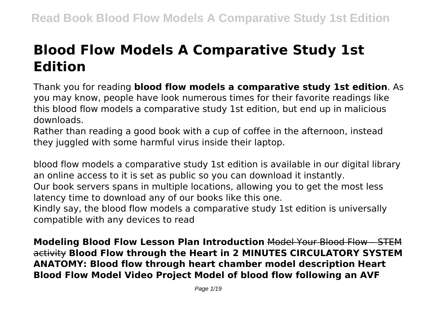# **Blood Flow Models A Comparative Study 1st Edition**

Thank you for reading **blood flow models a comparative study 1st edition**. As you may know, people have look numerous times for their favorite readings like this blood flow models a comparative study 1st edition, but end up in malicious downloads.

Rather than reading a good book with a cup of coffee in the afternoon, instead they juggled with some harmful virus inside their laptop.

blood flow models a comparative study 1st edition is available in our digital library an online access to it is set as public so you can download it instantly. Our book servers spans in multiple locations, allowing you to get the most less latency time to download any of our books like this one. Kindly say, the blood flow models a comparative study 1st edition is universally compatible with any devices to read

**Modeling Blood Flow Lesson Plan Introduction** Model Your Blood Flow – STEM activity **Blood Flow through the Heart in 2 MINUTES CIRCULATORY SYSTEM ANATOMY: Blood flow through heart chamber model description Heart Blood Flow Model Video Project Model of blood flow following an AVF**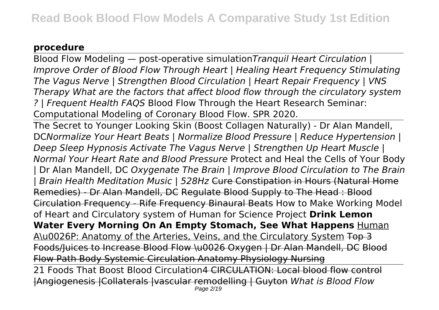### **procedure**

Blood Flow Modeling — post-operative simulation*Tranquil Heart Circulation | Improve Order of Blood Flow Through Heart | Healing Heart Frequency Stimulating The Vagus Nerve | Strengthen Blood Circulation | Heart Repair Frequency | VNS Therapy What are the factors that affect blood flow through the circulatory system ? | Frequent Health FAQS* Blood Flow Through the Heart Research Seminar: Computational Modeling of Coronary Blood Flow. SPR 2020.

The Secret to Younger Looking Skin (Boost Collagen Naturally) - Dr Alan Mandell, DC*Normalize Your Heart Beats | Normalize Blood Pressure | Reduce Hypertension | Deep Sleep Hypnosis Activate The Vagus Nerve | Strengthen Up Heart Muscle | Normal Your Heart Rate and Blood Pressure* Protect and Heal the Cells of Your Body | Dr Alan Mandell, DC *Oxygenate The Brain | Improve Blood Circulation to The Brain | Brain Health Meditation Music | 528Hz* Cure Constipation in Hours (Natural Home Remedies) - Dr Alan Mandell, DC Regulate Blood Supply to The Head : Blood Circulation Frequency - Rife Frequency Binaural Beats How to Make Working Model of Heart and Circulatory system of Human for Science Project **Drink Lemon** Water Every Morning On An Empty Stomach, See What Happens **Human** A\u0026P: Anatomy of the Arteries, Veins, and the Circulatory System Top 3 Foods/Juices to Increase Blood Flow \u0026 Oxygen | Dr Alan Mandell, DC Blood Flow Path Body Systemic Circulation Anatomy Physiology Nursing 21 Foods That Boost Blood Circulation4 CIRCULATION: Local blood flow control |Angiogenesis |Collaterals |vascular remodelling | Guyton *What is Blood Flow* Page 2/19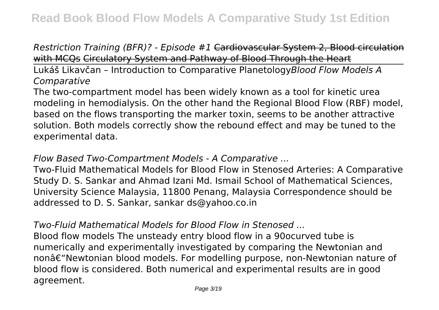*Restriction Training (BFR)? - Episode #1* Cardiovascular System 2, Blood circulation with MCQs Circulatory System and Pathway of Blood Through the Heart

Lukáš Likavčan – Introduction to Comparative Planetology*Blood Flow Models A Comparative*

The two-compartment model has been widely known as a tool for kinetic urea modeling in hemodialysis. On the other hand the Regional Blood Flow (RBF) model, based on the flows transporting the marker toxin, seems to be another attractive solution. Both models correctly show the rebound effect and may be tuned to the experimental data.

## *Flow Based Two-Compartment Models - A Comparative ...*

Two-Fluid Mathematical Models for Blood Flow in Stenosed Arteries: A Comparative Study D. S. Sankar and Ahmad Izani Md. Ismail School of Mathematical Sciences, University Science Malaysia, 11800 Penang, Malaysia Correspondence should be addressed to D. S. Sankar, sankar ds@yahoo.co.in

## *Two-Fluid Mathematical Models for Blood Flow in Stenosed ...*

Blood flow models The unsteady entry blood flow in a 90ocurved tube is numerically and experimentally investigated by comparing the Newtonian and non†"Newtonian blood models. For modelling purpose, non-Newtonian nature of blood flow is considered. Both numerical and experimental results are in good agreement.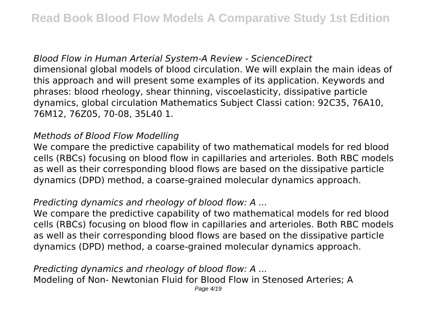*Blood Flow in Human Arterial System-A Review - ScienceDirect* dimensional global models of blood circulation. We will explain the main ideas of this approach and will present some examples of its application. Keywords and phrases: blood rheology, shear thinning, viscoelasticity, dissipative particle dynamics, global circulation Mathematics Subject Classi cation: 92C35, 76A10, 76M12, 76Z05, 70-08, 35L40 1.

#### *Methods of Blood Flow Modelling*

We compare the predictive capability of two mathematical models for red blood cells (RBCs) focusing on blood flow in capillaries and arterioles. Both RBC models as well as their corresponding blood flows are based on the dissipative particle dynamics (DPD) method, a coarse-grained molecular dynamics approach.

## *Predicting dynamics and rheology of blood flow: A ...*

We compare the predictive capability of two mathematical models for red blood cells (RBCs) focusing on blood flow in capillaries and arterioles. Both RBC models as well as their corresponding blood flows are based on the dissipative particle dynamics (DPD) method, a coarse-grained molecular dynamics approach.

*Predicting dynamics and rheology of blood flow: A ...* Modeling of Non- Newtonian Fluid for Blood Flow in Stenosed Arteries; A Page 4/19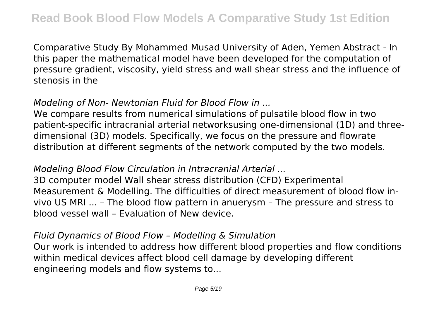Comparative Study By Mohammed Musad University of Aden, Yemen Abstract - In this paper the mathematical model have been developed for the computation of pressure gradient, viscosity, yield stress and wall shear stress and the influence of stenosis in the

## *Modeling of Non- Newtonian Fluid for Blood Flow in ...*

We compare results from numerical simulations of pulsatile blood flow in two patient-specific intracranial arterial networksusing one-dimensional (1D) and threedimensional (3D) models. Specifically, we focus on the pressure and flowrate distribution at different segments of the network computed by the two models.

#### *Modeling Blood Flow Circulation in Intracranial Arterial ...*

3D computer model Wall shear stress distribution (CFD) Experimental Measurement & Modelling. The difficulties of direct measurement of blood flow invivo US MRI ... – The blood flow pattern in anuerysm – The pressure and stress to blood vessel wall – Evaluation of New device.

#### *Fluid Dynamics of Blood Flow – Modelling & Simulation*

Our work is intended to address how different blood properties and flow conditions within medical devices affect blood cell damage by developing different engineering models and flow systems to...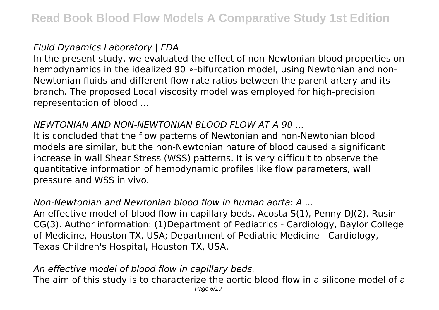### *Fluid Dynamics Laboratory | FDA*

In the present study, we evaluated the effect of non-Newtonian blood properties on hemodynamics in the idealized 90 ∘-bifurcation model, using Newtonian and non-Newtonian fluids and different flow rate ratios between the parent artery and its branch. The proposed Local viscosity model was employed for high-precision representation of blood ...

## *NEWTONIAN AND NON-NEWTONIAN BLOOD FLOW AT A 90 ...*

It is concluded that the flow patterns of Newtonian and non-Newtonian blood models are similar, but the non-Newtonian nature of blood caused a significant increase in wall Shear Stress (WSS) patterns. It is very difficult to observe the quantitative information of hemodynamic profiles like flow parameters, wall pressure and WSS in vivo.

#### *Non-Newtonian and Newtonian blood flow in human aorta: A ...*

An effective model of blood flow in capillary beds. Acosta S(1), Penny DJ(2), Rusin CG(3). Author information: (1)Department of Pediatrics - Cardiology, Baylor College of Medicine, Houston TX, USA; Department of Pediatric Medicine - Cardiology, Texas Children's Hospital, Houston TX, USA.

#### *An effective model of blood flow in capillary beds.*

The aim of this study is to characterize the aortic blood flow in a silicone model of a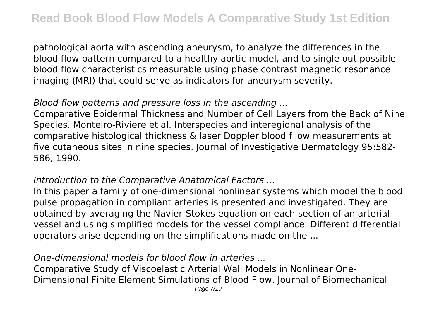pathological aorta with ascending aneurysm, to analyze the differences in the blood flow pattern compared to a healthy aortic model, and to single out possible blood flow characteristics measurable using phase contrast magnetic resonance imaging (MRI) that could serve as indicators for aneurysm severity.

### *Blood flow patterns and pressure loss in the ascending ...*

Comparative Epidermal Thickness and Number of Cell Layers from the Back of Nine Species. Monteiro-Riviere et al. Interspecies and interegional analysis of the comparative histological thickness & laser Doppler blood f low measurements at five cutaneous sites in nine species. Journal of Investigative Dermatology 95:582- 586, 1990.

#### *Introduction to the Comparative Anatomical Factors ...*

In this paper a family of one-dimensional nonlinear systems which model the blood pulse propagation in compliant arteries is presented and investigated. They are obtained by averaging the Navier-Stokes equation on each section of an arterial vessel and using simplified models for the vessel compliance. Different differential operators arise depending on the simplifications made on the ...

## *One-dimensional models for blood flow in arteries ...*

Comparative Study of Viscoelastic Arterial Wall Models in Nonlinear One-Dimensional Finite Element Simulations of Blood Flow. Journal of Biomechanical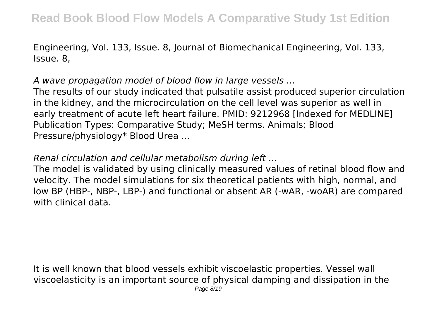Engineering, Vol. 133, Issue. 8, Journal of Biomechanical Engineering, Vol. 133, Issue. 8,

*A wave propagation model of blood flow in large vessels ...*

The results of our study indicated that pulsatile assist produced superior circulation in the kidney, and the microcirculation on the cell level was superior as well in early treatment of acute left heart failure. PMID: 9212968 [Indexed for MEDLINE] Publication Types: Comparative Study; MeSH terms. Animals; Blood Pressure/physiology\* Blood Urea ...

*Renal circulation and cellular metabolism during left ...*

The model is validated by using clinically measured values of retinal blood flow and velocity. The model simulations for six theoretical patients with high, normal, and low BP (HBP-, NBP-, LBP-) and functional or absent AR (-wAR, -woAR) are compared with clinical data.

It is well known that blood vessels exhibit viscoelastic properties. Vessel wall viscoelasticity is an important source of physical damping and dissipation in the Page 8/19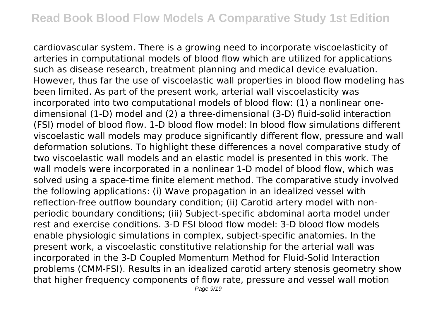cardiovascular system. There is a growing need to incorporate viscoelasticity of arteries in computational models of blood flow which are utilized for applications such as disease research, treatment planning and medical device evaluation. However, thus far the use of viscoelastic wall properties in blood flow modeling has been limited. As part of the present work, arterial wall viscoelasticity was incorporated into two computational models of blood flow: (1) a nonlinear onedimensional (1-D) model and (2) a three-dimensional (3-D) fluid-solid interaction (FSI) model of blood flow. 1-D blood flow model: In blood flow simulations different viscoelastic wall models may produce significantly different flow, pressure and wall deformation solutions. To highlight these differences a novel comparative study of two viscoelastic wall models and an elastic model is presented in this work. The wall models were incorporated in a nonlinear 1-D model of blood flow, which was solved using a space-time finite element method. The comparative study involved the following applications: (i) Wave propagation in an idealized vessel with reflection-free outflow boundary condition; (ii) Carotid artery model with nonperiodic boundary conditions; (iii) Subject-specific abdominal aorta model under rest and exercise conditions. 3-D FSI blood flow model: 3-D blood flow models enable physiologic simulations in complex, subject-specific anatomies. In the present work, a viscoelastic constitutive relationship for the arterial wall was incorporated in the 3-D Coupled Momentum Method for Fluid-Solid Interaction problems (CMM-FSI). Results in an idealized carotid artery stenosis geometry show that higher frequency components of flow rate, pressure and vessel wall motion Page 9/19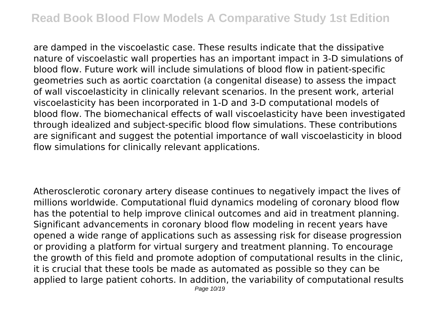are damped in the viscoelastic case. These results indicate that the dissipative nature of viscoelastic wall properties has an important impact in 3-D simulations of blood flow. Future work will include simulations of blood flow in patient-specific geometries such as aortic coarctation (a congenital disease) to assess the impact of wall viscoelasticity in clinically relevant scenarios. In the present work, arterial viscoelasticity has been incorporated in 1-D and 3-D computational models of blood flow. The biomechanical effects of wall viscoelasticity have been investigated through idealized and subject-specific blood flow simulations. These contributions are significant and suggest the potential importance of wall viscoelasticity in blood flow simulations for clinically relevant applications.

Atherosclerotic coronary artery disease continues to negatively impact the lives of millions worldwide. Computational fluid dynamics modeling of coronary blood flow has the potential to help improve clinical outcomes and aid in treatment planning. Significant advancements in coronary blood flow modeling in recent years have opened a wide range of applications such as assessing risk for disease progression or providing a platform for virtual surgery and treatment planning. To encourage the growth of this field and promote adoption of computational results in the clinic, it is crucial that these tools be made as automated as possible so they can be applied to large patient cohorts. In addition, the variability of computational results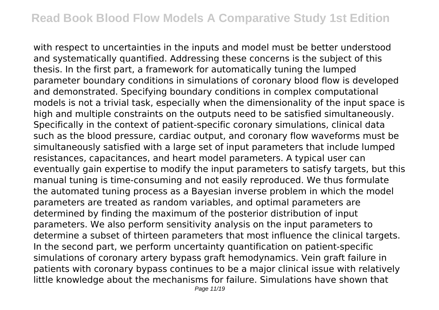with respect to uncertainties in the inputs and model must be better understood and systematically quantified. Addressing these concerns is the subject of this thesis. In the first part, a framework for automatically tuning the lumped parameter boundary conditions in simulations of coronary blood flow is developed and demonstrated. Specifying boundary conditions in complex computational models is not a trivial task, especially when the dimensionality of the input space is high and multiple constraints on the outputs need to be satisfied simultaneously. Specifically in the context of patient-specific coronary simulations, clinical data such as the blood pressure, cardiac output, and coronary flow waveforms must be simultaneously satisfied with a large set of input parameters that include lumped resistances, capacitances, and heart model parameters. A typical user can eventually gain expertise to modify the input parameters to satisfy targets, but this manual tuning is time-consuming and not easily reproduced. We thus formulate the automated tuning process as a Bayesian inverse problem in which the model parameters are treated as random variables, and optimal parameters are determined by finding the maximum of the posterior distribution of input parameters. We also perform sensitivity analysis on the input parameters to determine a subset of thirteen parameters that most influence the clinical targets. In the second part, we perform uncertainty quantification on patient-specific simulations of coronary artery bypass graft hemodynamics. Vein graft failure in patients with coronary bypass continues to be a major clinical issue with relatively little knowledge about the mechanisms for failure. Simulations have shown that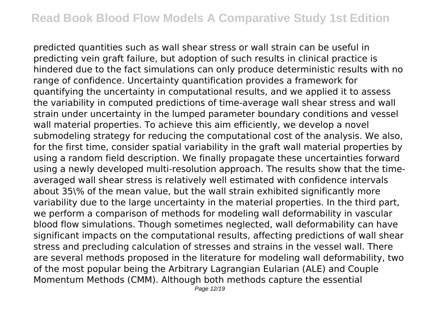predicted quantities such as wall shear stress or wall strain can be useful in predicting vein graft failure, but adoption of such results in clinical practice is hindered due to the fact simulations can only produce deterministic results with no range of confidence. Uncertainty quantification provides a framework for quantifying the uncertainty in computational results, and we applied it to assess the variability in computed predictions of time-average wall shear stress and wall strain under uncertainty in the lumped parameter boundary conditions and vessel wall material properties. To achieve this aim efficiently, we develop a novel submodeling strategy for reducing the computational cost of the analysis. We also, for the first time, consider spatial variability in the graft wall material properties by using a random field description. We finally propagate these uncertainties forward using a newly developed multi-resolution approach. The results show that the timeaveraged wall shear stress is relatively well estimated with confidence intervals about 35\% of the mean value, but the wall strain exhibited significantly more variability due to the large uncertainty in the material properties. In the third part, we perform a comparison of methods for modeling wall deformability in vascular blood flow simulations. Though sometimes neglected, wall deformability can have significant impacts on the computational results, affecting predictions of wall shear stress and precluding calculation of stresses and strains in the vessel wall. There are several methods proposed in the literature for modeling wall deformability, two of the most popular being the Arbitrary Lagrangian Eularian (ALE) and Couple Momentum Methods (CMM). Although both methods capture the essential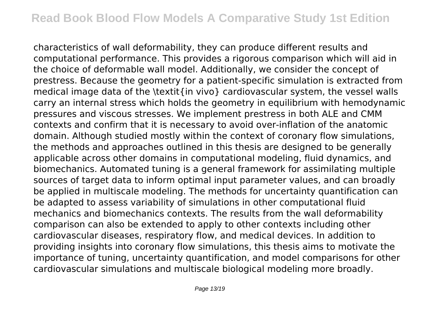characteristics of wall deformability, they can produce different results and computational performance. This provides a rigorous comparison which will aid in the choice of deformable wall model. Additionally, we consider the concept of prestress. Because the geometry for a patient-specific simulation is extracted from medical image data of the \textit{in vivo} cardiovascular system, the vessel walls carry an internal stress which holds the geometry in equilibrium with hemodynamic pressures and viscous stresses. We implement prestress in both ALE and CMM contexts and confirm that it is necessary to avoid over-inflation of the anatomic domain. Although studied mostly within the context of coronary flow simulations, the methods and approaches outlined in this thesis are designed to be generally applicable across other domains in computational modeling, fluid dynamics, and biomechanics. Automated tuning is a general framework for assimilating multiple sources of target data to inform optimal input parameter values, and can broadly be applied in multiscale modeling. The methods for uncertainty quantification can be adapted to assess variability of simulations in other computational fluid mechanics and biomechanics contexts. The results from the wall deformability comparison can also be extended to apply to other contexts including other cardiovascular diseases, respiratory flow, and medical devices. In addition to providing insights into coronary flow simulations, this thesis aims to motivate the importance of tuning, uncertainty quantification, and model comparisons for other cardiovascular simulations and multiscale biological modeling more broadly.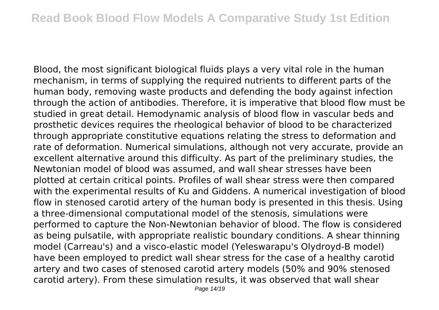Blood, the most significant biological fluids plays a very vital role in the human mechanism, in terms of supplying the required nutrients to different parts of the human body, removing waste products and defending the body against infection through the action of antibodies. Therefore, it is imperative that blood flow must be studied in great detail. Hemodynamic analysis of blood flow in vascular beds and prosthetic devices requires the rheological behavior of blood to be characterized through appropriate constitutive equations relating the stress to deformation and rate of deformation. Numerical simulations, although not very accurate, provide an excellent alternative around this difficulty. As part of the preliminary studies, the Newtonian model of blood was assumed, and wall shear stresses have been plotted at certain critical points. Profiles of wall shear stress were then compared with the experimental results of Ku and Giddens. A numerical investigation of blood flow in stenosed carotid artery of the human body is presented in this thesis. Using a three-dimensional computational model of the stenosis, simulations were performed to capture the Non-Newtonian behavior of blood. The flow is considered as being pulsatile, with appropriate realistic boundary conditions. A shear thinning model (Carreau's) and a visco-elastic model (Yeleswarapu's Olydroyd-B model) have been employed to predict wall shear stress for the case of a healthy carotid artery and two cases of stenosed carotid artery models (50% and 90% stenosed carotid artery). From these simulation results, it was observed that wall shear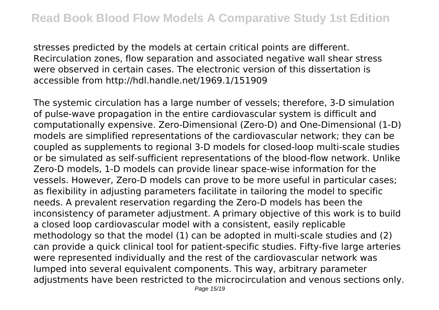stresses predicted by the models at certain critical points are different. Recirculation zones, flow separation and associated negative wall shear stress were observed in certain cases. The electronic version of this dissertation is accessible from http://hdl.handle.net/1969.1/151909

The systemic circulation has a large number of vessels; therefore, 3-D simulation of pulse-wave propagation in the entire cardiovascular system is difficult and computationally expensive. Zero-Dimensional (Zero-D) and One-Dimensional (1-D) models are simplified representations of the cardiovascular network; they can be coupled as supplements to regional 3-D models for closed-loop multi-scale studies or be simulated as self-sufficient representations of the blood-flow network. Unlike Zero-D models, 1-D models can provide linear space-wise information for the vessels. However, Zero-D models can prove to be more useful in particular cases; as flexibility in adjusting parameters facilitate in tailoring the model to specific needs. A prevalent reservation regarding the Zero-D models has been the inconsistency of parameter adjustment. A primary objective of this work is to build a closed loop cardiovascular model with a consistent, easily replicable methodology so that the model (1) can be adopted in multi-scale studies and (2) can provide a quick clinical tool for patient-specific studies. Fifty-five large arteries were represented individually and the rest of the cardiovascular network was lumped into several equivalent components. This way, arbitrary parameter adjustments have been restricted to the microcirculation and venous sections only.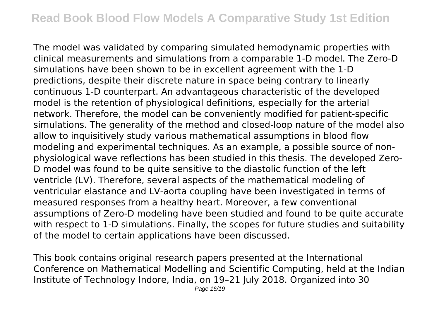The model was validated by comparing simulated hemodynamic properties with clinical measurements and simulations from a comparable 1-D model. The Zero-D simulations have been shown to be in excellent agreement with the 1-D predictions, despite their discrete nature in space being contrary to linearly continuous 1-D counterpart. An advantageous characteristic of the developed model is the retention of physiological definitions, especially for the arterial network. Therefore, the model can be conveniently modified for patient-specific simulations. The generality of the method and closed-loop nature of the model also allow to inquisitively study various mathematical assumptions in blood flow modeling and experimental techniques. As an example, a possible source of nonphysiological wave reflections has been studied in this thesis. The developed Zero-D model was found to be quite sensitive to the diastolic function of the left ventricle (LV). Therefore, several aspects of the mathematical modeling of ventricular elastance and LV-aorta coupling have been investigated in terms of measured responses from a healthy heart. Moreover, a few conventional assumptions of Zero-D modeling have been studied and found to be quite accurate with respect to 1-D simulations. Finally, the scopes for future studies and suitability of the model to certain applications have been discussed.

This book contains original research papers presented at the International Conference on Mathematical Modelling and Scientific Computing, held at the Indian Institute of Technology Indore, India, on 19–21 July 2018. Organized into 30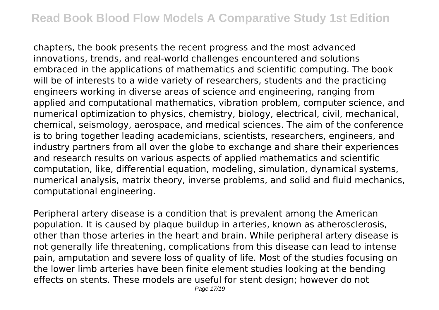chapters, the book presents the recent progress and the most advanced innovations, trends, and real-world challenges encountered and solutions embraced in the applications of mathematics and scientific computing. The book will be of interests to a wide variety of researchers, students and the practicing engineers working in diverse areas of science and engineering, ranging from applied and computational mathematics, vibration problem, computer science, and numerical optimization to physics, chemistry, biology, electrical, civil, mechanical, chemical, seismology, aerospace, and medical sciences. The aim of the conference is to bring together leading academicians, scientists, researchers, engineers, and industry partners from all over the globe to exchange and share their experiences and research results on various aspects of applied mathematics and scientific computation, like, differential equation, modeling, simulation, dynamical systems, numerical analysis, matrix theory, inverse problems, and solid and fluid mechanics, computational engineering.

Peripheral artery disease is a condition that is prevalent among the American population. It is caused by plaque buildup in arteries, known as atherosclerosis, other than those arteries in the heart and brain. While peripheral artery disease is not generally life threatening, complications from this disease can lead to intense pain, amputation and severe loss of quality of life. Most of the studies focusing on the lower limb arteries have been finite element studies looking at the bending effects on stents. These models are useful for stent design; however do not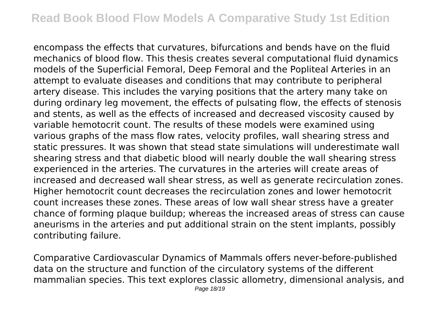encompass the effects that curvatures, bifurcations and bends have on the fluid mechanics of blood flow. This thesis creates several computational fluid dynamics models of the Superficial Femoral, Deep Femoral and the Popliteal Arteries in an attempt to evaluate diseases and conditions that may contribute to peripheral artery disease. This includes the varying positions that the artery many take on during ordinary leg movement, the effects of pulsating flow, the effects of stenosis and stents, as well as the effects of increased and decreased viscosity caused by variable hemotocrit count. The results of these models were examined using various graphs of the mass flow rates, velocity profiles, wall shearing stress and static pressures. It was shown that stead state simulations will underestimate wall shearing stress and that diabetic blood will nearly double the wall shearing stress experienced in the arteries. The curvatures in the arteries will create areas of increased and decreased wall shear stress, as well as generate recirculation zones. Higher hemotocrit count decreases the recirculation zones and lower hemotocrit count increases these zones. These areas of low wall shear stress have a greater chance of forming plaque buildup; whereas the increased areas of stress can cause aneurisms in the arteries and put additional strain on the stent implants, possibly contributing failure.

Comparative Cardiovascular Dynamics of Mammals offers never-before-published data on the structure and function of the circulatory systems of the different mammalian species. This text explores classic allometry, dimensional analysis, and